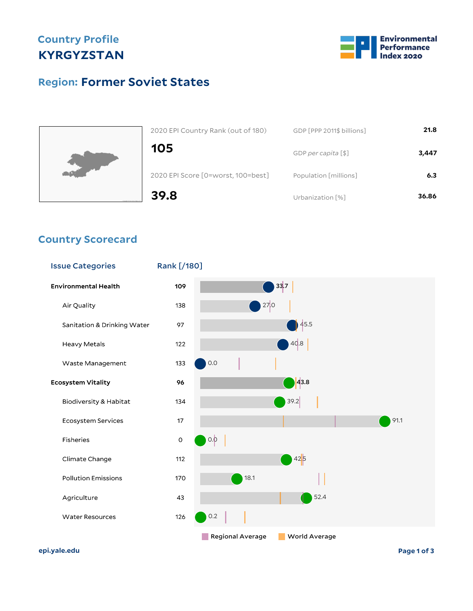## **Country Profile KYRGYZSTAN**



## **Former Soviet States Region:**



| 2020 EPI Country Rank (out of 180) | GDP [PPP 2011\$ billions] | 21.8  |
|------------------------------------|---------------------------|-------|
| 105                                | GDP per capita [\$]       | 3,447 |
| 2020 EPI Score [0=worst, 100=best] | Population [millions]     | 6.3   |
| 39.8                               | Urbanization [%]          | 36.86 |

#### **Country Scorecard**



**epi.yale.edu Page 1 of 3**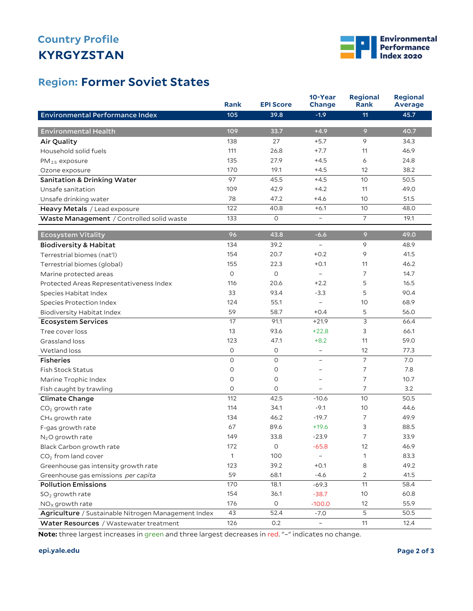# **KYRGYZSTAN Country Profile**



### **Former Soviet States Region:**

|                                                     | Rank            | <b>EPI Score</b> | 10-Year<br>Change        | <b>Regional</b><br>Rank | <b>Regional</b><br><b>Average</b> |
|-----------------------------------------------------|-----------------|------------------|--------------------------|-------------------------|-----------------------------------|
| <b>Environmental Performance Index</b>              | 105             | 39.8             | $-1.9$                   | 11                      | 45.7                              |
|                                                     |                 |                  |                          |                         |                                   |
| <b>Environmental Health</b>                         | 109             | 33.7             | $+4.9$                   | 9                       | 40.7                              |
| Air Quality                                         | 138             | 27               | $+5.7$                   | 9                       | 34.3                              |
| Household solid fuels                               | 111             | 26.8             | $+7.7$                   | 11                      | 46.9                              |
| $PM_{2.5}$ exposure                                 | 135             | 27.9             | $+4.5$                   | 6                       | 24.8                              |
| Ozone exposure                                      | 170             | 19.1             | $+4.5$                   | 12                      | 38.2                              |
| <b>Sanitation &amp; Drinking Water</b>              | 97              | 45.5             | $+4.5$                   | 10                      | 50.5                              |
| Unsafe sanitation                                   | 109             | 42.9             | $+4.2$                   | 11                      | 49.0                              |
| Unsafe drinking water                               | 78              | 47.2             | $+4.6$                   | 10                      | 51.5                              |
| Heavy Metals / Lead exposure                        | 122             | 40.8             | $+6.1$                   | 10                      | 48.0                              |
| Waste Management / Controlled solid waste           | 133             | 0                | $\qquad \qquad -$        | 7                       | 19.1                              |
| <b>Ecosystem Vitality</b>                           | 96              | 43.8             | $-6.6$                   | 9                       | 49.0                              |
| <b>Biodiversity &amp; Habitat</b>                   | 134             | 39.2             | $\overline{\phantom{a}}$ | 9                       | 48.9                              |
| Terrestrial biomes (nat'l)                          | 154             | 20.7             | $+0.2$                   | 9                       | 41.5                              |
| Terrestrial biomes (global)                         | 155             | 22.3             | $+0.1$                   | 11                      | 46.2                              |
| Marine protected areas                              | $\circ$         | $\mathsf O$      | $\equiv$                 | $\overline{7}$          | 14.7                              |
| Protected Areas Representativeness Index            | 116             | 20.6             | $+2.2$                   | 5                       | 16.5                              |
| Species Habitat Index                               | 33              | 93.4             | $-3.3$                   | 5                       | 90.4                              |
| Species Protection Index                            | 124             | 55.1             | $\overline{a}$           | 10                      | 68.9                              |
| Biodiversity Habitat Index                          | 59              | 58.7             | $+0.4$                   | 5                       | 56.0                              |
| <b>Ecosystem Services</b>                           | $\overline{17}$ | 91.1             | $+21.9$                  | 3                       | 66.4                              |
| Tree cover loss                                     | 13              | 93.6             | $+22.8$                  | 3                       | 66.1                              |
| Grassland loss                                      | 123             | 47.1             | $+8.2$                   | 11                      | 59.0                              |
| Wetland loss                                        | 0               | O                | $\overline{\phantom{a}}$ | 12                      | 77.3                              |
| <b>Fisheries</b>                                    | $\circ$         | O                | $\overline{\phantom{0}}$ | $\overline{7}$          | 7.0                               |
| <b>Fish Stock Status</b>                            | 0               | 0                | $\overline{a}$           | 7                       | 7.8                               |
| Marine Trophic Index                                | $\circ$         | 0                | $\overline{a}$           | $\overline{7}$          | 10.7                              |
| Fish caught by trawling                             | $\circ$         | 0                |                          | $\overline{7}$          | 3.2                               |
| Climate Change                                      | 112             | 42.5             | $-10.6$                  | 10                      | 50.5                              |
| $CO2$ growth rate                                   | 114             | 34.1             | $-9.1$                   | 10                      | 44.6                              |
| CH <sub>4</sub> growth rate                         | 134             | 46.2             | $-19.7$                  | 7                       | 49.9                              |
| F-gas growth rate                                   | 67              | 89.6             | $+19.6$                  | 3                       | 88.5                              |
| N <sub>2</sub> O growth rate                        | 149             | 33.8             | $-23.9$                  | $\overline{7}$          | 33.9                              |
| Black Carbon growth rate                            | 172             | $\mathsf O$      | $-65.8$                  | 12                      | 46.9                              |
| CO <sub>2</sub> from land cover                     | 1               | 100              |                          | 1                       | 83.3                              |
| Greenhouse gas intensity growth rate                | 123             | 39.2             | $+0.1$                   | 8                       | 49.2                              |
| Greenhouse gas emissions per capita                 | 59              | 68.1             | $-4.6$                   | $\overline{c}$          | 41.5                              |
| <b>Pollution Emissions</b>                          | 170             | 18.1             | $-69.3$                  | 11                      | 58.4                              |
| $SO2$ growth rate                                   | 154             | 36.1             | $-38.7$                  | 10 <sup>°</sup>         | 60.8                              |
| $NOx$ growth rate                                   | 176             | $\mathsf O$      | $-100.0$                 | 12                      | 55.9                              |
| Agriculture / Sustainable Nitrogen Management Index | 43              | 52.4             | $-7.0$                   | 5                       | 50.5                              |
| Water Resources / Wastewater treatment              | 126             | $0.2\,$          | $\overline{\phantom{0}}$ | 11                      | 12.4                              |

**Note:** three largest increases in green and three largest decreases in red. "–" indicates no change.

#### **epi.yale.edu Page 2 of 3**